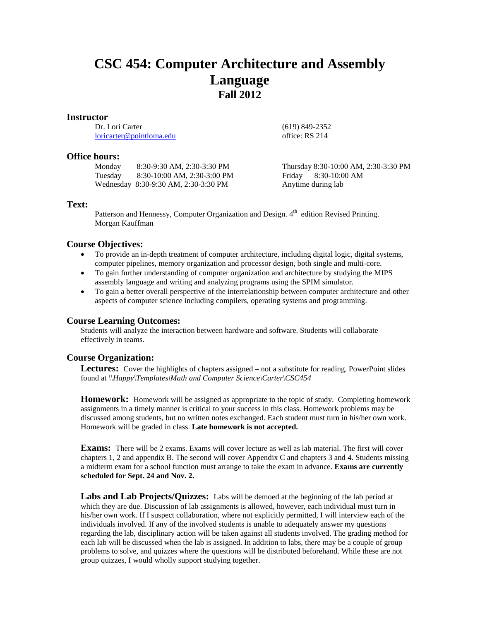# **CSC 454: Computer Architecture and Assembly Language Fall 2012**

## **Instructor**

Dr. Lori Carter [loricarter@pointloma.edu](mailto:loricarter@pointloma.edu)

## **Office hours:**

Monday 8:30-9:30 AM, 2:30-3:30 PM Tuesday 8:30-10:00 AM, 2:30-3:00 PM Wednesday 8:30-9:30 AM, 2:30-3:30 PM

Thursday 8:30-10:00 AM, 2:30-3:30 PM Friday 8:30-10:00 AM Anytime during lab

(619) 849-2352 office: RS 214

## **Text:**

Patterson and Hennessy, Computer Organization and Design. 4<sup>th</sup> edition Revised Printing. Morgan Kauffman

## **Course Objectives:**

- To provide an in-depth treatment of computer architecture, including digital logic, digital systems, computer pipelines, memory organization and processor design, both single and multi-core.
- To gain further understanding of computer organization and architecture by studying the MIPS assembly language and writing and analyzing programs using the SPIM simulator.
- To gain a better overall perspective of the interrelationship between computer architecture and other aspects of computer science including compilers, operating systems and programming.

## **Course Learning Outcomes:**

Students will analyze the interaction between hardware and software. Students will collaborate effectively in teams.

## **Course Organization:**

**Lectures:** Cover the highlights of chapters assigned – not a substitute for reading. PowerPoint slides found at *\\Happy\Templates\Math and Computer Science\Carter\CSC454*

**Homework:** Homework will be assigned as appropriate to the topic of study. Completing homework assignments in a timely manner is critical to your success in this class. Homework problems may be discussed among students, but no written notes exchanged. Each student must turn in his/her own work. Homework will be graded in class. **Late homework is not accepted.**

**Exams:** There will be 2 exams. Exams will cover lecture as well as lab material. The first will cover chapters 1, 2 and appendix B. The second will cover Appendix C and chapters 3 and 4. Students missing a midterm exam for a school function must arrange to take the exam in advance. **Exams are currently scheduled for Sept. 24 and Nov. 2.**

**Labs and Lab Projects/Quizzes:** Labs will be demoed at the beginning of the lab period at which they are due. Discussion of lab assignments is allowed, however, each individual must turn in his/her own work. If I suspect collaboration, where not explicitly permitted, I will interview each of the individuals involved. If any of the involved students is unable to adequately answer my questions regarding the lab, disciplinary action will be taken against all students involved. The grading method for each lab will be discussed when the lab is assigned. In addition to labs, there may be a couple of group problems to solve, and quizzes where the questions will be distributed beforehand. While these are not group quizzes, I would wholly support studying together.